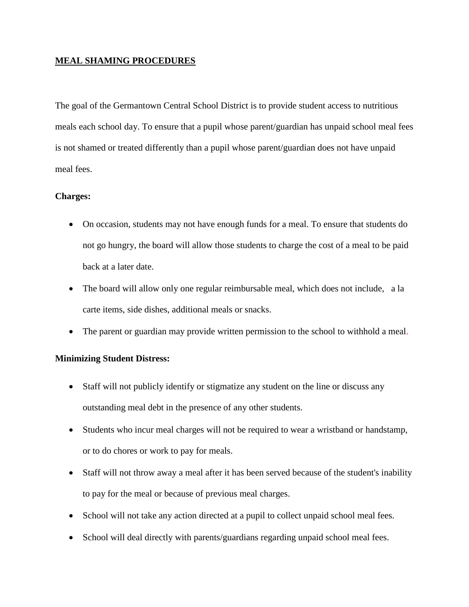# **MEAL SHAMING PROCEDURES**

The goal of the Germantown Central School District is to provide student access to nutritious meals each school day. To ensure that a pupil whose parent/guardian has unpaid school meal fees is not shamed or treated differently than a pupil whose parent/guardian does not have unpaid meal fees.

# **Charges:**

- On occasion, students may not have enough funds for a meal. To ensure that students do not go hungry, the board will allow those students to charge the cost of a meal to be paid back at a later date.
- The board will allow only one regular reimbursable meal, which does not include, a la carte items, side dishes, additional meals or snacks.
- The parent or guardian may provide written permission to the school to withhold a meal.

### **Minimizing Student Distress:**

- Staff will not publicly identify or stigmatize any student on the line or discuss any outstanding meal debt in the presence of any other students.
- Students who incur meal charges will not be required to wear a wristband or handstamp, or to do chores or work to pay for meals.
- Staff will not throw away a meal after it has been served because of the student's inability to pay for the meal or because of previous meal charges.
- School will not take any action directed at a pupil to collect unpaid school meal fees.
- School will deal directly with parents/guardians regarding unpaid school meal fees.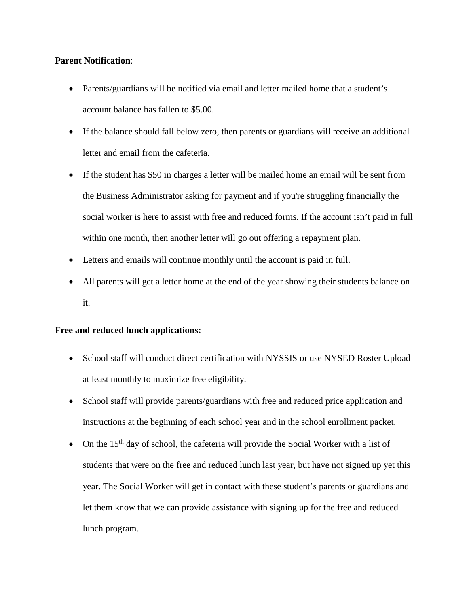## **Parent Notification**:

- Parents/guardians will be notified via email and letter mailed home that a student's account balance has fallen to \$5.00.
- If the balance should fall below zero, then parents or guardians will receive an additional letter and email from the cafeteria.
- If the student has \$50 in charges a letter will be mailed home an email will be sent from the Business Administrator asking for payment and if you're struggling financially the social worker is here to assist with free and reduced forms. If the account isn't paid in full within one month, then another letter will go out offering a repayment plan.
- Letters and emails will continue monthly until the account is paid in full.
- All parents will get a letter home at the end of the year showing their students balance on it.

### **Free and reduced lunch applications:**

- School staff will conduct direct certification with NYSSIS or use NYSED Roster Upload at least monthly to maximize free eligibility.
- School staff will provide parents/guardians with free and reduced price application and instructions at the beginning of each school year and in the school enrollment packet.
- On the  $15<sup>th</sup>$  day of school, the cafeteria will provide the Social Worker with a list of students that were on the free and reduced lunch last year, but have not signed up yet this year. The Social Worker will get in contact with these student's parents or guardians and let them know that we can provide assistance with signing up for the free and reduced lunch program.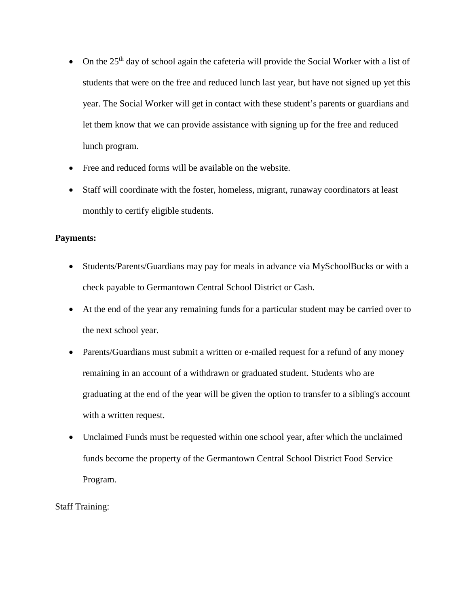- On the  $25<sup>th</sup>$  day of school again the cafeteria will provide the Social Worker with a list of students that were on the free and reduced lunch last year, but have not signed up yet this year. The Social Worker will get in contact with these student's parents or guardians and let them know that we can provide assistance with signing up for the free and reduced lunch program.
- Free and reduced forms will be available on the website.
- Staff will coordinate with the foster, homeless, migrant, runaway coordinators at least monthly to certify eligible students.

### **Payments:**

- Students/Parents/Guardians may pay for meals in advance via MySchoolBucks or with a check payable to Germantown Central School District or Cash.
- At the end of the year any remaining funds for a particular student may be carried over to the next school year.
- Parents/Guardians must submit a written or e-mailed request for a refund of any money remaining in an account of a withdrawn or graduated student. Students who are graduating at the end of the year will be given the option to transfer to a sibling's account with a written request.
- Unclaimed Funds must be requested within one school year, after which the unclaimed funds become the property of the Germantown Central School District Food Service Program.

Staff Training: